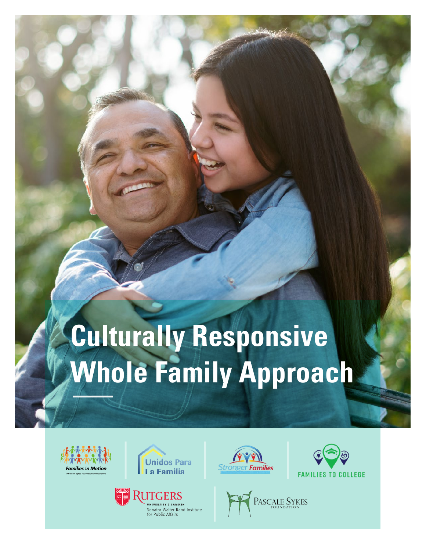# **Culturally Responsive Whole Family Approach**











| <b>PASCALE SYKES</b><br><b>FOUNDATION</b> |  |
|-------------------------------------------|--|
|-------------------------------------------|--|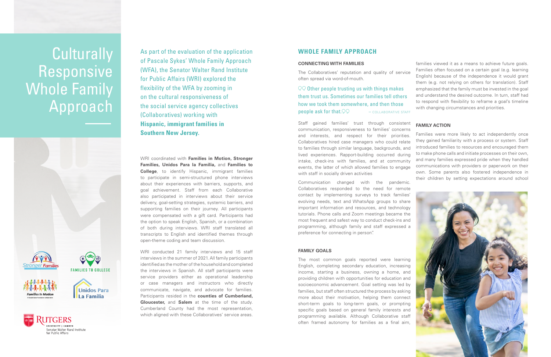## **WHOLE FAMILY APPROACH**

## **CONNECTING WITH FAMILIES**

The Collaboratives' reputation and quality of service often spread via word-of-mouth.

 $QQ$  Other people trusting us with things makes them trust us. Sometimes our families tell others how we took them somewhere, and then those **people ask for that.**  $\mathcal{P}$   $\mathcal{P}$   $\mathcal{P}$   $\mathcal{P}$   $\mathcal{P}$   $\mathcal{P}$   $\mathcal{P}$   $\mathcal{P}$   $\mathcal{P}$   $\mathcal{P}$   $\mathcal{P}$   $\mathcal{P}$   $\mathcal{P}$   $\mathcal{P}$   $\mathcal{P}$   $\mathcal{P}$   $\mathcal{P}$   $\mathcal{P}$   $\mathcal{P}$   $\mathcal{P}$   $\mathcal{P}$   $\mathcal{P}$ 

Communication changed with the pandemic. Collaboratives responded to the need for remote contact by implementing surveys to track families' evolving needs, text and WhatsApp groups to share important information and resources, and technology tutorials. Phone calls and Zoom meetings became the most frequent and safest way to conduct check-ins and programming, although family and staff expressed a preference for connecting in person".

families viewed it as a means to achieve future goals. Families often focused on a certain goal (e.g. learning English) because of the independence it would grant them (e.g. not relying on others for translation). Staff emphasized that the family must be invested in the goal and understand the desired outcome. In turn, staff had to respond with flexibility to reframe a goal's timeline with changing circumstances and priorities.



## **FAMILY GOALS**

## **Culturally** Responsive Whole Family Approach





Staff gained families' trust through consistent communication, responsiveness to families' concerns and interests, and respect for their priorities. Collaboratives hired case managers who could relate to families through similar language, backgrounds, and lived experiences. Rapport-building occurred during intake, check-ins with families, and at community events, the latter of which allowed families to engage with staff in socially driven activities **FAMILY ACTION** Families were more likely to act independently once they gained familiarity with a process or system. Staff introduced families to resources and encouraged them to make phone calls and initiate processes on their own, and many families expressed pride when they handled communications with providers or paperwork on their own. Some parents also fostered independence in their children by setting expectations around school

The most common goals reported were learning English, completing secondary education, increasing income, starting a business, owning a home, and providing children with opportunities for education and socioeconomic advancement. Goal setting was led by families, but staff often structured the process by asking more about their motivation, helping them connect short-term goals to long-term goals, or prompting specific goals based on general family interests and programming available. Although Collaborative staff often framed autonomy for families as a final aim,

As part of the evaluation of the application of Pascale Sykes' Whole Family Approach (WFA), the Senator Walter Rand Institute for Public Affairs (WRI) explored the flexibility of the WFA by zooming in on the cultural responsiveness of the social service agency collectives (Collaboratives) working with **Hispanic, immigrant families in Southern New Jersey.**

WRI coordinated with **Families in Motion, Stronger Families, Unidos Para la Familia,** and **Families to College**, to identify Hispanic, immigrant families to participate in semi-structured phone interviews about their experiences with barriers, supports, and goal achievement. Staff from each Collaborative also participated in interviews about their service delivery, goal-setting strategies, systemic barriers, and supporting families on their journey. All participants were compensated with a gift card. Participants had the option to speak English, Spanish, or a combination of both during interviews. WRI staff translated all transcripts to English and identified themes through open-theme coding and team discussion.

WRI conducted 21 family interviews and 15 staff interviews in the summer of 2021. All family participants identified as the mother of the household and completed the interviews in Spanish. All staff participants were service providers either as operational leadership or case managers and instructors who directly communicate, navigate, and advocate for families. Participants resided in the **counties of Cumberland, Gloucester,** and **Salem** at the time of the study. Cumberland County had the most representation, which aligned with these Collaboratives' service areas.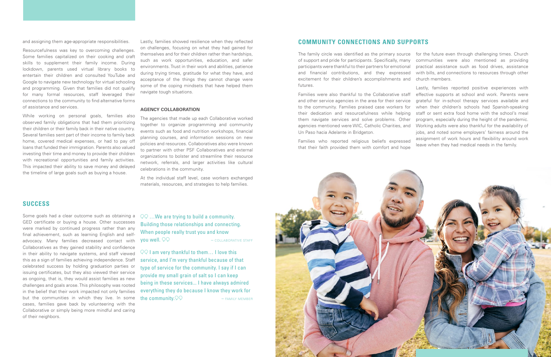## **COMMUNITY CONNECTIONS AND SUPPORTS**

The family circle was identified as the primary source of support and pride for participants. Specifically, many participants were thankful to their partners for emotional and financial contributions, and they expressed excitement for their children's accomplishments and futures. for the future even through challenging times. Church communities were also mentioned as providing practical assistance such as food drives, assistance with bills, and connections to resources through other church members.

Families were also thankful to the Collaborative staff and other service agencies in the area for their service to the community. Families praised case workers for their dedication and resourcefulness while helping them navigate services and solve problems. Other agencies mentioned were WIC, Catholic Charities, and Un Paso hacia Adelante in Bridgeton. Families who reported religious beliefs expressed that their faith provided them with comfort and hope



Lastly, families reported positive experiences with effective supports at school and work. Parents were grateful for in-school therapy services available and when their children's schools had Spanish-speaking staff or sent extra food home with the school's meal program, especially during the height of the pandemic. Working adults were also thankful for the availability of jobs, and noted some employers' fairness around the assignment of work hours and flexibility around work leave when they had medical needs in the family.

and assigning them age-appropriate responsibilities.

Resourcefulness was key to overcoming challenges. Some families capitalized on their cooking and craft skills to supplement their family income. During lockdown, parents used virtual library books to entertain their children and consulted YouTube and Google to navigate new technology for virtual schooling and programming. Given that families did not qualify for many formal resources, staff leveraged their connections to the community to find alternative forms of assistance and services.

While working on personal goals, families also observed family obligations that had them prioritizing their children or their family back in their native country. Several families sent part of their income to family back home, covered medical expenses, or had to pay off loans that funded their immigration. Parents also valued investing their time and money to provide their children with recreational opportunities and family activities. This impacted their ability to save money and delayed the timeline of large goals such as buying a house.

Lastly, families showed resilience when they reflected on challenges, focusing on what they had gained for themselves and for their children rather than hardships, such as work opportunities, education, and safer environments. Trust in their work and abilities, patience during trying times, gratitude for what they have, and acceptance of the things they cannot change were some of the coping mindsets that have helped them navigate tough situations.

### **AGENCY COLLABORATION**

The agencies that made up each Collaborative worked together to organize programming and community events such as food and nutrition workshops, financial planning courses, and information sessions on new policies and resources. Collaboratives also were known to partner with other PSF Collaboratives and external organizations to bolster and streamline their resource network, referrals, and larger activities like cultural celebrations in the community.

At the individual staff level, case workers exchanged materials, resources, and strategies to help families.

## **SUCCESS**

Some goals had a clear outcome such as obtaining a GED certificate or buying a house. Other successes were marked by continued progress rather than any final achievement, such as learning English and selfadvocacy. Many families decreased contact with Collaboratives as they gained stability and confidence in their ability to navigate systems, and staff viewed this as a sign of families achieving independence. Staff celebrated success by holding graduation parties or issuing certificates, but they also viewed their service as ongoing, that is, they would assist families as new challenges and goals arose. This philosophy was rooted in the belief that their work impacted not only families but the communities in which they live. In some cases, families gave back by volunteering with the Collaborative or simply being more mindful and caring of their neighbors.

## QQ ... We are trying to build a community. Building those relationships and connecting. When people really trust you and know **you well.**  $\mathcal{QQ}$   $-$  collaborative staff

 $\sqrt{QQ}$  I am very thankful to them... I love this service, and I'm very thankful because of that type of service for the community. I say if I can provide my small grain of salt so I can keep being in these services... I have always admired everything they do because I know they work for **the community.**  $\mathcal{Q} \mathcal{Q}$   $\mathcal{F}$   $\mathcal{M}$   $\mathcal{F}$   $\mathcal{M}$   $\mathcal{M}$   $\mathcal{F}$   $\mathcal{M}$   $\mathcal{F}$   $\mathcal{M}$   $\mathcal{F}$   $\mathcal{M}$   $\mathcal{F}$   $\mathcal{M}$   $\mathcal{F}$   $\mathcal{M}$   $\mathcal{F}$   $\mathcal{M}$   $\mathcal{F}$   $\mathcal{M}$   $\mathcal{F}$   $\mathcal{$